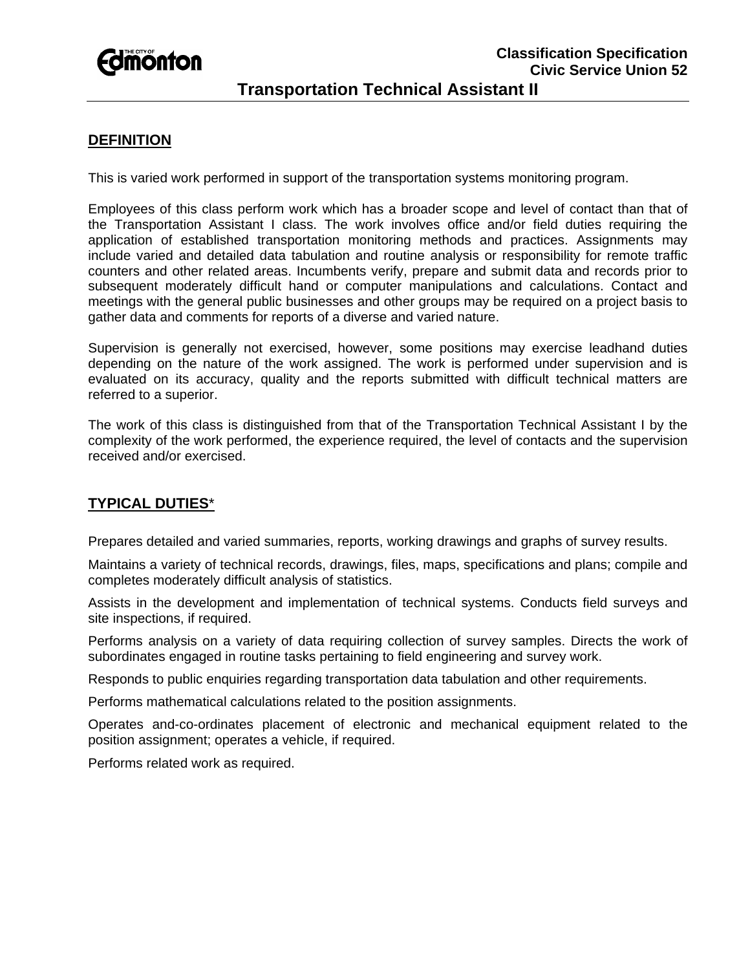

# **DEFINITION**

This is varied work performed in support of the transportation systems monitoring program.

Employees of this class perform work which has a broader scope and level of contact than that of the Transportation Assistant I class. The work involves office and/or field duties requiring the application of established transportation monitoring methods and practices. Assignments may include varied and detailed data tabulation and routine analysis or responsibility for remote traffic counters and other related areas. Incumbents verify, prepare and submit data and records prior to subsequent moderately difficult hand or computer manipulations and calculations. Contact and meetings with the general public businesses and other groups may be required on a project basis to gather data and comments for reports of a diverse and varied nature.

Supervision is generally not exercised, however, some positions may exercise leadhand duties depending on the nature of the work assigned. The work is performed under supervision and is evaluated on its accuracy, quality and the reports submitted with difficult technical matters are referred to a superior.

The work of this class is distinguished from that of the Transportation Technical Assistant I by the complexity of the work performed, the experience required, the level of contacts and the supervision received and/or exercised.

## **TYPICAL DUTIES**\*

Prepares detailed and varied summaries, reports, working drawings and graphs of survey results.

Maintains a variety of technical records, drawings, files, maps, specifications and plans; compile and completes moderately difficult analysis of statistics.

Assists in the development and implementation of technical systems. Conducts field surveys and site inspections, if required.

Performs analysis on a variety of data requiring collection of survey samples. Directs the work of subordinates engaged in routine tasks pertaining to field engineering and survey work.

Responds to public enquiries regarding transportation data tabulation and other requirements.

Performs mathematical calculations related to the position assignments.

Operates and-co-ordinates placement of electronic and mechanical equipment related to the position assignment; operates a vehicle, if required.

Performs related work as required.